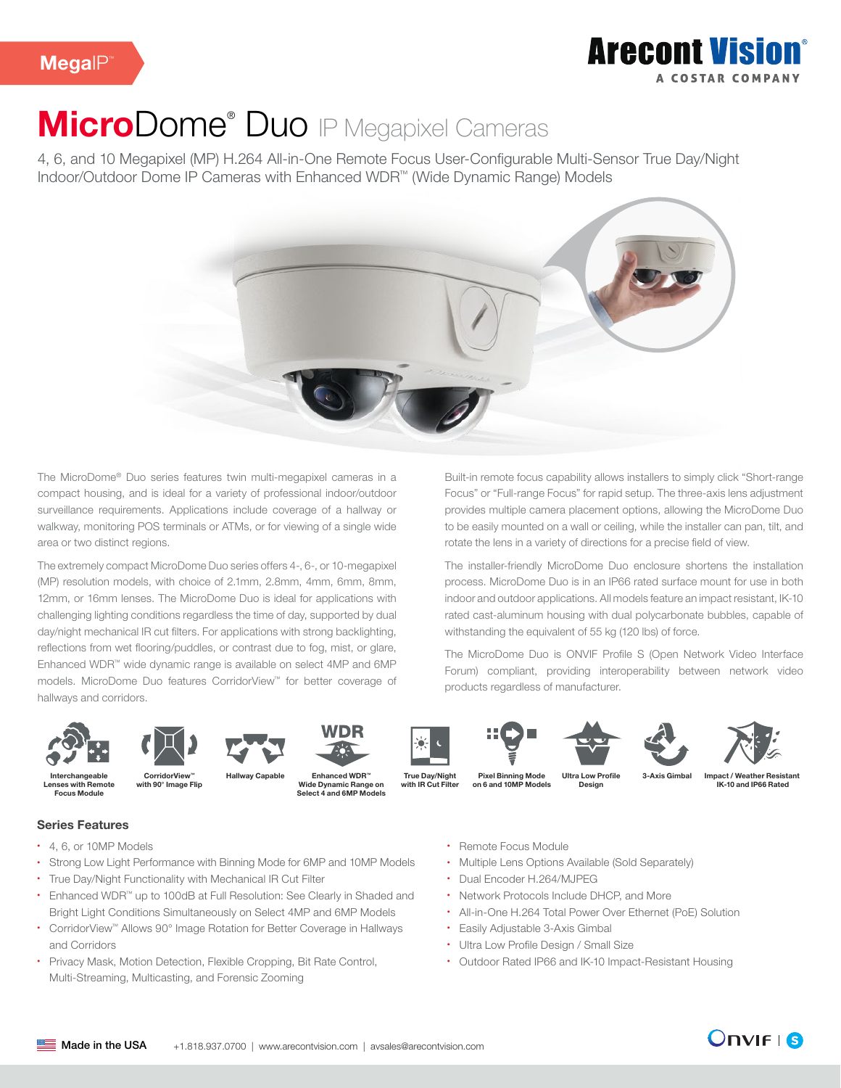### **Arecont Vision** A COSTAD COMPANY

# MicroDome<sup>®</sup> Duo IP Megapixel Cameras

4, 6, and 10 Megapixel (MP) H.264 All-in-One Remote Focus User-Configurable Multi-Sensor True Day/Night Indoor/Outdoor Dome IP Cameras with Enhanced WDR™ (Wide Dynamic Range) Models



The MicroDome® Duo series features twin multi-megapixel cameras in a compact housing, and is ideal for a variety of professional indoor/outdoor surveillance requirements. Applications include coverage of a hallway or walkway, monitoring POS terminals or ATMs, or for viewing of a single wide area or two distinct regions.

The extremely compact MicroDome Duo series offers 4-, 6-, or 10-megapixel (MP) resolution models, with choice of 2.1mm, 2.8mm, 4mm, 6mm, 8mm, 12mm, or 16mm lenses. The MicroDome Duo is ideal for applications with challenging lighting conditions regardless the time of day, supported by dual day/night mechanical IR cut filters. For applications with strong backlighting, reflections from wet flooring/puddles, or contrast due to fog, mist, or glare, Enhanced WDR™ wide dynamic range is available on select 4MP and 6MP models. MicroDome Duo features CorridorView™ for better coverage of hallways and corridors.

Built-in remote focus capability allows installers to simply click "Short-range Focus" or "Full-range Focus" for rapid setup. The three-axis lens adjustment provides multiple camera placement options, allowing the MicroDome Duo to be easily mounted on a wall or ceiling, while the installer can pan, tilt, and rotate the lens in a variety of directions for a precise field of view.

The installer-friendly MicroDome Duo enclosure shortens the installation process. MicroDome Duo is in an IP66 rated surface mount for use in both indoor and outdoor applications. All models feature an impact resistant, IK-10 rated cast-aluminum housing with dual polycarbonate bubbles, capable of withstanding the equivalent of 55 kg (120 lbs) of force.

The MicroDome Duo is ONVIF Profile S (Open Network Video Interface Forum) compliant, providing interoperability between network video products regardless of manufacturer.









Select 4 and 6MP Models









Interchangeable Lenses with Remote Focus Module

Pixel Binning Mode on 6 and 10MP Models CorridorView 3-Axis Gimbal ™ with 90° Image Flip Hallway Capable

Enhanced WDR™ Wide Dynamic Range on

True Day/Night with **IR Cut Filter** 

ow Profile Design

Impact / Weather Resistant IK-10 and IP66 Rated

Series Features

- 4, 6, or 10MP Models
- Strong Low Light Performance with Binning Mode for 6MP and 10MP Models
- True Day/Night Functionality with Mechanical IR Cut Filter
- Enhanced WDR™ up to 100dB at Full Resolution: See Clearly in Shaded and Bright Light Conditions Simultaneously on Select 4MP and 6MP Models
- CorridorView™ Allows 90° Image Rotation for Better Coverage in Hallways and Corridors
- Privacy Mask, Motion Detection, Flexible Cropping, Bit Rate Control, Multi-Streaming, Multicasting, and Forensic Zooming
- Remote Focus Module
- Multiple Lens Options Available (Sold Separately)
- Dual Encoder H.264/MJPEG
- Network Protocols Include DHCP, and More
- All-in-One H.264 Total Power Over Ethernet (PoE) Solution
- Easily Adjustable 3-Axis Gimbal
- Ultra Low Profile Design / Small Size
- Outdoor Rated IP66 and IK-10 Impact-Resistant Housing

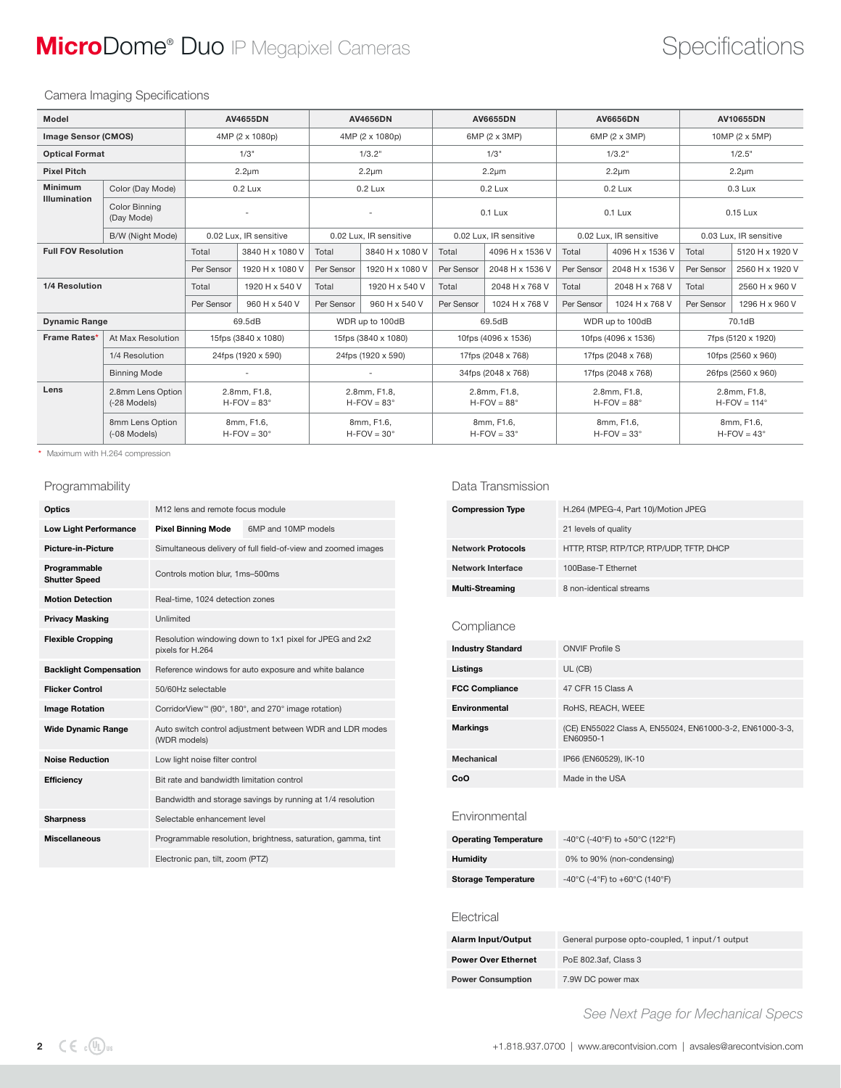## **MicroDome® Duo** IP Megapixel Cameras **Specifications** Specifications

### Camera Imaging Specifications

| Model                      |                                    | <b>AV4656DN</b><br><b>AV4655DN</b>       |                        | <b>AV6655DN</b>                          |                        | <b>AV6656DN</b>                          |                    | AV10655DN                                |                 |                                  |                 |
|----------------------------|------------------------------------|------------------------------------------|------------------------|------------------------------------------|------------------------|------------------------------------------|--------------------|------------------------------------------|-----------------|----------------------------------|-----------------|
| <b>Image Sensor (CMOS)</b> |                                    | 4MP (2 x 1080p)                          |                        | 4MP (2 x 1080p)                          |                        | 6MP (2 x 3MP)                            |                    | 6MP (2 x 3MP)                            |                 | 10MP (2 x 5MP)                   |                 |
| <b>Optical Format</b>      |                                    |                                          | 1/3"                   | 1/3.2"                                   |                        |                                          | 1/3"               |                                          | 1/3.2"          |                                  | 1/2.5"          |
| <b>Pixel Pitch</b>         |                                    |                                          | $2.2 \mu m$            | $2.2 \mu m$                              |                        | $2.2 \mu m$                              |                    | $2.2 \mu m$                              |                 |                                  | $2.2 \mu m$     |
| <b>Minimum</b>             | Color (Day Mode)                   |                                          | $0.2$ Lux              | $0.2$ Lux                                |                        | $0.2$ Lux                                |                    | $0.2$ Lux                                |                 | $0.3$ Lux                        |                 |
| <b>Illumination</b>        | <b>Color Binning</b><br>(Day Mode) |                                          |                        |                                          |                        | $0.1$ Lux                                |                    | $0.1$ Lux                                |                 | 0.15 Lux                         |                 |
|                            | B/W (Night Mode)                   |                                          | 0.02 Lux, IR sensitive |                                          | 0.02 Lux, IR sensitive | 0.02 Lux, IR sensitive                   |                    | 0.02 Lux, IR sensitive                   |                 | 0.03 Lux, IR sensitive           |                 |
| <b>Full FOV Resolution</b> |                                    | Total                                    | 3840 H x 1080 V        | Total                                    | 3840 H x 1080 V        | Total                                    | 4096 H x 1536 V    | Total                                    | 4096 H x 1536 V | Total                            | 5120 H x 1920 V |
|                            |                                    | Per Sensor                               | 1920 H x 1080 V        | Per Sensor                               | 1920 H x 1080 V        | Per Sensor                               | 2048 H x 1536 V    | Per Sensor                               | 2048 H x 1536 V | Per Sensor                       | 2560 H x 1920 V |
| 1/4 Resolution             |                                    | Total                                    | 1920 H x 540 V         | Total                                    | 1920 H x 540 V         | Total                                    | 2048 H x 768 V     | Total                                    | 2048 H x 768 V  | Total                            | 2560 H x 960 V  |
|                            |                                    | Per Sensor                               | 960 H x 540 V          | Per Sensor                               | 960 H x 540 V          | Per Sensor                               | 1024 H x 768 V     | Per Sensor                               | 1024 H x 768 V  | Per Sensor                       | 1296 H x 960 V  |
| <b>Dynamic Range</b>       |                                    |                                          | 69.5dB                 | WDR up to 100dB                          |                        | 69.5dB                                   |                    | WDR up to 100dB                          |                 | 70.1dB                           |                 |
| Frame Rates*               | At Max Resolution                  |                                          | 15fps (3840 x 1080)    | 15fps (3840 x 1080)                      |                        | 10fps (4096 x 1536)                      |                    | 10fps (4096 x 1536)                      |                 | 7fps (5120 x 1920)               |                 |
|                            | 1/4 Resolution                     |                                          | 24fps (1920 x 590)     |                                          | 24fps (1920 x 590)     | 17fps (2048 x 768)                       |                    | 17fps (2048 x 768)                       |                 | 10fps (2560 x 960)               |                 |
|                            | <b>Binning Mode</b>                |                                          |                        |                                          |                        |                                          | 34fps (2048 x 768) | 17fps (2048 x 768)                       |                 | 26fps (2560 x 960)               |                 |
| Lens                       | 2.8mm Lens Option<br>(-28 Models)  | 2.8mm, F1.8,<br>$H$ -FOV = 83 $^{\circ}$ |                        | 2.8mm, F1.8,<br>$H$ -FOV = 83 $^{\circ}$ |                        | 2.8mm, F1.8,<br>$H$ -FOV = 88 $^{\circ}$ |                    | 2.8mm, F1.8,<br>$H$ -FOV = 88 $^{\circ}$ |                 | 2.8mm, F1.8,<br>$H-FOV = 114°$   |                 |
|                            | 8mm Lens Option<br>(-08 Models)    | 8mm, F1.6,<br>$H-FOV = 30^\circ$         |                        | 8mm, F1.6,<br>$H-FOV = 30^\circ$         |                        | 8mm, F1.6,<br>$H$ -FOV = 33 $^{\circ}$   |                    | 8mm, F1.6,<br>$H$ -FOV = 33 $^{\circ}$   |                 | 8mm, F1.6,<br>$H-FOV = 43^\circ$ |                 |

\* Maximum with H.264 compression

### Programmability

| Optics                               | M12 lens and remote focus module                                            |                     |  |  |  |
|--------------------------------------|-----------------------------------------------------------------------------|---------------------|--|--|--|
| <b>Low Light Performance</b>         | <b>Pixel Binning Mode</b>                                                   | 6MP and 10MP models |  |  |  |
| <b>Picture-in-Picture</b>            | Simultaneous delivery of full field-of-view and zoomed images               |                     |  |  |  |
| Programmable<br><b>Shutter Speed</b> | Controls motion blur, 1ms-500ms                                             |                     |  |  |  |
| <b>Motion Detection</b>              | Real-time, 1024 detection zones                                             |                     |  |  |  |
| <b>Privacy Masking</b>               | Unlimited                                                                   |                     |  |  |  |
| <b>Flexible Cropping</b>             | Resolution windowing down to 1x1 pixel for JPEG and 2x2<br>pixels for H.264 |                     |  |  |  |
| <b>Backlight Compensation</b>        | Reference windows for auto exposure and white balance                       |                     |  |  |  |
| <b>Flicker Control</b>               | 50/60Hz selectable                                                          |                     |  |  |  |
| <b>Image Rotation</b>                | CorridorView™ (90°, 180°, and 270° image rotation)                          |                     |  |  |  |
| <b>Wide Dynamic Range</b>            | Auto switch control adjustment between WDR and LDR modes<br>(WDR models)    |                     |  |  |  |
| <b>Noise Reduction</b>               | Low light noise filter control                                              |                     |  |  |  |
| <b>Efficiency</b>                    | Bit rate and bandwidth limitation control                                   |                     |  |  |  |
|                                      | Bandwidth and storage savings by running at 1/4 resolution                  |                     |  |  |  |
| <b>Sharpness</b>                     | Selectable enhancement level                                                |                     |  |  |  |
| <b>Miscellaneous</b>                 | Programmable resolution, brightness, saturation, gamma, tint                |                     |  |  |  |
|                                      | Electronic pan, tilt, zoom (PTZ)                                            |                     |  |  |  |

#### Data Transmission

| <b>Compression Type</b>  | H.264 (MPEG-4, Part 10)/Motion JPEG                    |  |  |  |  |
|--------------------------|--------------------------------------------------------|--|--|--|--|
|                          | 21 levels of quality                                   |  |  |  |  |
| <b>Network Protocols</b> | HTTP, RTSP, RTP/TCP, RTP/UDP, TFTP, DHCP               |  |  |  |  |
| Network Interface        | 100Base-T Ethernet<br>8 non-identical streams          |  |  |  |  |
| <b>Multi-Streaming</b>   |                                                        |  |  |  |  |
|                          |                                                        |  |  |  |  |
| Compliance               |                                                        |  |  |  |  |
| <b>Industry Standard</b> | <b>ONVIF Profile S</b>                                 |  |  |  |  |
| Listings                 | UL (CB)                                                |  |  |  |  |
| <b>FCC Compliance</b>    | 47 CFR 15 Class A                                      |  |  |  |  |
| Environmental            | RoHS, REACH, WEEE                                      |  |  |  |  |
| Markinge                 | $(CE)$ ENEE022 Closs A ENEE024 ENE1000.3.2 ENE1000.3.3 |  |  |  |  |

| Markings   | (CE) EN55022 Class A, EN55024, EN61000-3-2, EN61000-3-3,<br>EN60950-1 |
|------------|-----------------------------------------------------------------------|
| Mechanical | IP66 (EN60529), IK-10                                                 |
| CoO        | Made in the USA                                                       |

Environmental

| <b>Operating Temperature</b> | -40°C (-40°F) to +50°C (122°F) |
|------------------------------|--------------------------------|
| <b>Humidity</b>              | 0% to 90% (non-condensing)     |
| <b>Storage Temperature</b>   | -40°C (-4°F) to +60°C (140°F)  |

#### **Electrical**

| <b>Alarm Input/Output</b>  | General purpose opto-coupled, 1 input/1 output |
|----------------------------|------------------------------------------------|
| <b>Power Over Ethernet</b> | PoE 802.3af, Class 3                           |
| <b>Power Consumption</b>   | 7.9W DC power max                              |

 *See Next Page for Mechanical Specs*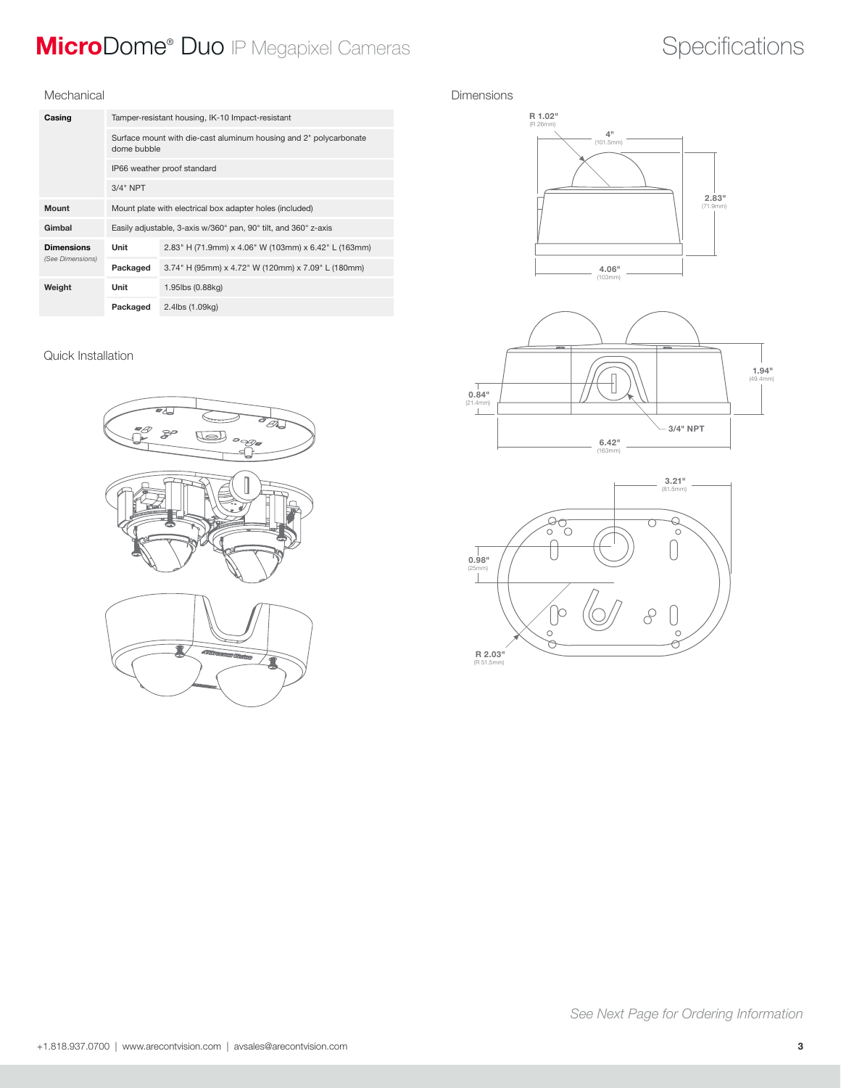## **MicroDome® Duo** IP Megapixel Cameras **Specifications** Specifications

#### Mechanical

| Casing            | Tamper-resistant housing, IK-10 Impact-resistant                                 |                                                                 |  |  |  |
|-------------------|----------------------------------------------------------------------------------|-----------------------------------------------------------------|--|--|--|
|                   | Surface mount with die-cast aluminum housing and 2" polycarbonate<br>dome bubble |                                                                 |  |  |  |
|                   | IP66 weather proof standard                                                      |                                                                 |  |  |  |
|                   | $3/4"$ NPT                                                                       |                                                                 |  |  |  |
| Mount             |                                                                                  | Mount plate with electrical box adapter holes (included)        |  |  |  |
| Gimbal            |                                                                                  | Easily adjustable, 3-axis w/360° pan, 90° tilt, and 360° z-axis |  |  |  |
| <b>Dimensions</b> | Unit                                                                             | 2.83" H (71.9mm) x 4.06" W (103mm) x 6.42" L (163mm)            |  |  |  |
| (See Dimensions)  | Packaged                                                                         | 3.74" H (95mm) x 4.72" W (120mm) x 7.09" L (180mm)              |  |  |  |
| Weight            | Unit                                                                             | 1.95lbs (0.88kg)                                                |  |  |  |
|                   | Packaged                                                                         | 2.4lbs (1.09kg)                                                 |  |  |  |

### Quick Installation



#### Dimensions